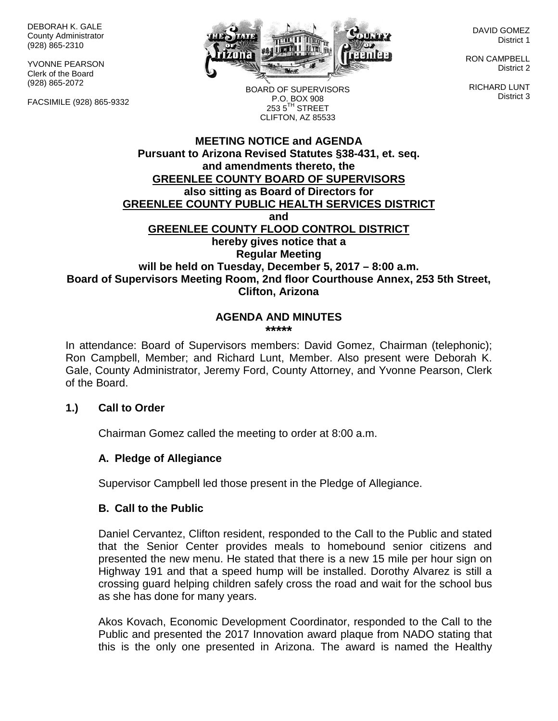DEBORAH K. GALE County Administrator (928) 865-2310

YVONNE PEARSON Clerk of the Board (928) 865-2072

FACSIMILE (928) 865-9332



DAVID GOMEZ District 1

RON CAMPBELL District 2

RICHARD LUNT District 3

BOARD OF SUPERVISORS P.O. BOX 908  $253.5$ <sup>TH</sup> STREET CLIFTON, AZ 85533

#### **MEETING NOTICE and AGENDA Pursuant to Arizona Revised Statutes §38-431, et. seq. and amendments thereto, the GREENLEE COUNTY BOARD OF SUPERVISORS also sitting as Board of Directors for GREENLEE COUNTY PUBLIC HEALTH SERVICES DISTRICT and GREENLEE COUNTY FLOOD CONTROL DISTRICT hereby gives notice that a Regular Meeting will be held on Tuesday, December 5, 2017 – 8:00 a.m. Board of Supervisors Meeting Room, 2nd floor Courthouse Annex, 253 5th Street, Clifton, Arizona**

#### **AGENDA AND MINUTES \*\*\*\*\***

In attendance: Board of Supervisors members: David Gomez, Chairman (telephonic); Ron Campbell, Member; and Richard Lunt, Member. Also present were Deborah K. Gale, County Administrator, Jeremy Ford, County Attorney, and Yvonne Pearson, Clerk of the Board.

#### **1.) Call to Order**

Chairman Gomez called the meeting to order at 8:00 a.m.

#### **A. Pledge of Allegiance**

Supervisor Campbell led those present in the Pledge of Allegiance.

#### **B. Call to the Public**

Daniel Cervantez, Clifton resident, responded to the Call to the Public and stated that the Senior Center provides meals to homebound senior citizens and presented the new menu. He stated that there is a new 15 mile per hour sign on Highway 191 and that a speed hump will be installed. Dorothy Alvarez is still a crossing guard helping children safely cross the road and wait for the school bus as she has done for many years.

Akos Kovach, Economic Development Coordinator, responded to the Call to the Public and presented the 2017 Innovation award plaque from NADO stating that this is the only one presented in Arizona. The award is named the Healthy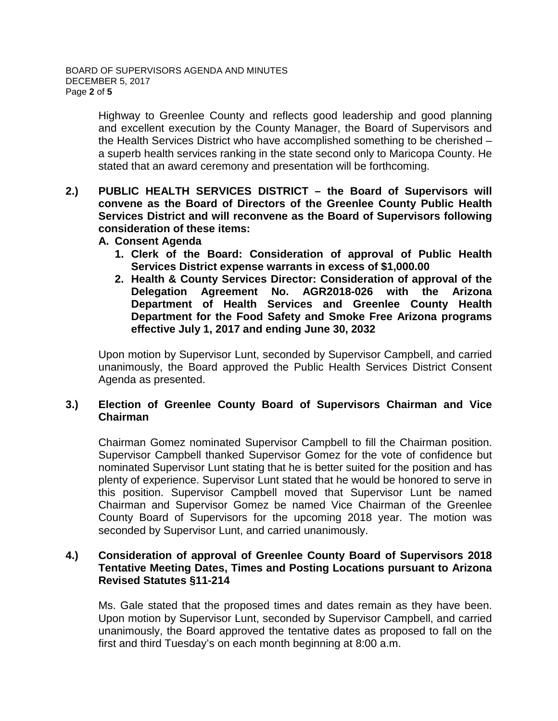Highway to Greenlee County and reflects good leadership and good planning and excellent execution by the County Manager, the Board of Supervisors and the Health Services District who have accomplished something to be cherished – a superb health services ranking in the state second only to Maricopa County. He stated that an award ceremony and presentation will be forthcoming.

- **2.) PUBLIC HEALTH SERVICES DISTRICT – the Board of Supervisors will convene as the Board of Directors of the Greenlee County Public Health Services District and will reconvene as the Board of Supervisors following consideration of these items:**
	- **A. Consent Agenda**
		- **1. Clerk of the Board: Consideration of approval of Public Health Services District expense warrants in excess of \$1,000.00**
		- **2. Health & County Services Director: Consideration of approval of the Delegation Agreement No. AGR2018-026 with the Arizona Department of Health Services and Greenlee County Health Department for the Food Safety and Smoke Free Arizona programs effective July 1, 2017 and ending June 30, 2032**

Upon motion by Supervisor Lunt, seconded by Supervisor Campbell, and carried unanimously, the Board approved the Public Health Services District Consent Agenda as presented.

## **3.) Election of Greenlee County Board of Supervisors Chairman and Vice Chairman**

Chairman Gomez nominated Supervisor Campbell to fill the Chairman position. Supervisor Campbell thanked Supervisor Gomez for the vote of confidence but nominated Supervisor Lunt stating that he is better suited for the position and has plenty of experience. Supervisor Lunt stated that he would be honored to serve in this position. Supervisor Campbell moved that Supervisor Lunt be named Chairman and Supervisor Gomez be named Vice Chairman of the Greenlee County Board of Supervisors for the upcoming 2018 year. The motion was seconded by Supervisor Lunt, and carried unanimously.

#### **4.) Consideration of approval of Greenlee County Board of Supervisors 2018 Tentative Meeting Dates, Times and Posting Locations pursuant to Arizona Revised Statutes §11-214**

Ms. Gale stated that the proposed times and dates remain as they have been. Upon motion by Supervisor Lunt, seconded by Supervisor Campbell, and carried unanimously, the Board approved the tentative dates as proposed to fall on the first and third Tuesday's on each month beginning at 8:00 a.m.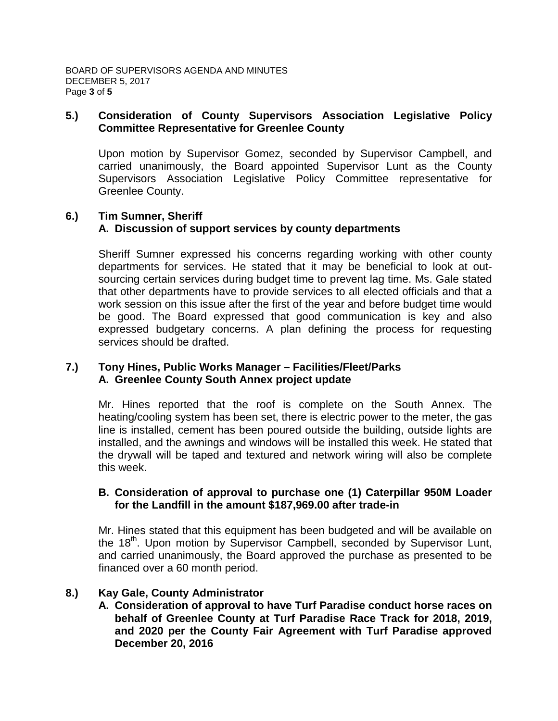#### **5.) Consideration of County Supervisors Association Legislative Policy Committee Representative for Greenlee County**

Upon motion by Supervisor Gomez, seconded by Supervisor Campbell, and carried unanimously, the Board appointed Supervisor Lunt as the County Supervisors Association Legislative Policy Committee representative for Greenlee County.

# **6.) Tim Sumner, Sheriff A. Discussion of support services by county departments**

Sheriff Sumner expressed his concerns regarding working with other county departments for services. He stated that it may be beneficial to look at outsourcing certain services during budget time to prevent lag time. Ms. Gale stated that other departments have to provide services to all elected officials and that a work session on this issue after the first of the year and before budget time would be good. The Board expressed that good communication is key and also expressed budgetary concerns. A plan defining the process for requesting services should be drafted.

#### **7.) Tony Hines, Public Works Manager – Facilities/Fleet/Parks A. Greenlee County South Annex project update**

Mr. Hines reported that the roof is complete on the South Annex. The heating/cooling system has been set, there is electric power to the meter, the gas line is installed, cement has been poured outside the building, outside lights are installed, and the awnings and windows will be installed this week. He stated that the drywall will be taped and textured and network wiring will also be complete this week.

#### **B. Consideration of approval to purchase one (1) Caterpillar 950M Loader for the Landfill in the amount \$187,969.00 after trade-in**

Mr. Hines stated that this equipment has been budgeted and will be available on the 18<sup>th</sup>. Upon motion by Supervisor Campbell, seconded by Supervisor Lunt, and carried unanimously, the Board approved the purchase as presented to be financed over a 60 month period.

## **8.) Kay Gale, County Administrator**

**A. Consideration of approval to have Turf Paradise conduct horse races on behalf of Greenlee County at Turf Paradise Race Track for 2018, 2019, and 2020 per the County Fair Agreement with Turf Paradise approved December 20, 2016**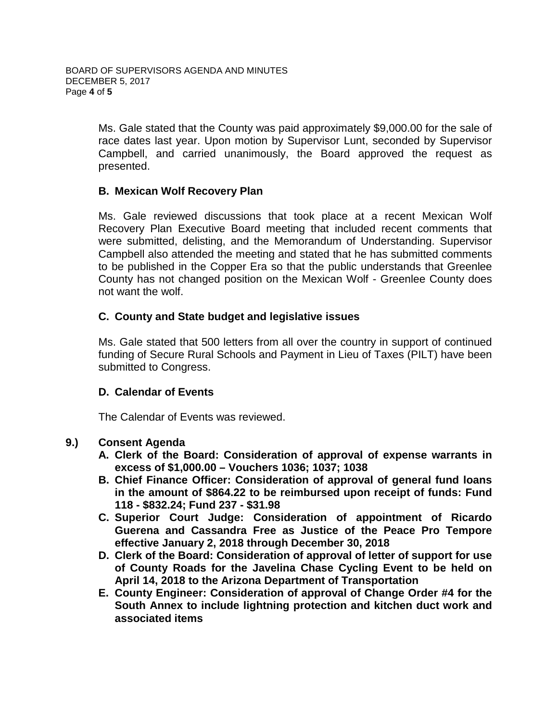Ms. Gale stated that the County was paid approximately \$9,000.00 for the sale of race dates last year. Upon motion by Supervisor Lunt, seconded by Supervisor Campbell, and carried unanimously, the Board approved the request as presented.

#### **B. Mexican Wolf Recovery Plan**

Ms. Gale reviewed discussions that took place at a recent Mexican Wolf Recovery Plan Executive Board meeting that included recent comments that were submitted, delisting, and the Memorandum of Understanding. Supervisor Campbell also attended the meeting and stated that he has submitted comments to be published in the Copper Era so that the public understands that Greenlee County has not changed position on the Mexican Wolf - Greenlee County does not want the wolf.

## **C. County and State budget and legislative issues**

Ms. Gale stated that 500 letters from all over the country in support of continued funding of Secure Rural Schools and Payment in Lieu of Taxes (PILT) have been submitted to Congress.

#### **D. Calendar of Events**

The Calendar of Events was reviewed.

#### **9.) Consent Agenda**

- **A. Clerk of the Board: Consideration of approval of expense warrants in excess of \$1,000.00 – Vouchers 1036; 1037; 1038**
- **B. Chief Finance Officer: Consideration of approval of general fund loans in the amount of \$864.22 to be reimbursed upon receipt of funds: Fund 118 - \$832.24; Fund 237 - \$31.98**
- **C. Superior Court Judge: Consideration of appointment of Ricardo Guerena and Cassandra Free as Justice of the Peace Pro Tempore effective January 2, 2018 through December 30, 2018**
- **D. Clerk of the Board: Consideration of approval of letter of support for use of County Roads for the Javelina Chase Cycling Event to be held on April 14, 2018 to the Arizona Department of Transportation**
- **E. County Engineer: Consideration of approval of Change Order #4 for the South Annex to include lightning protection and kitchen duct work and associated items**